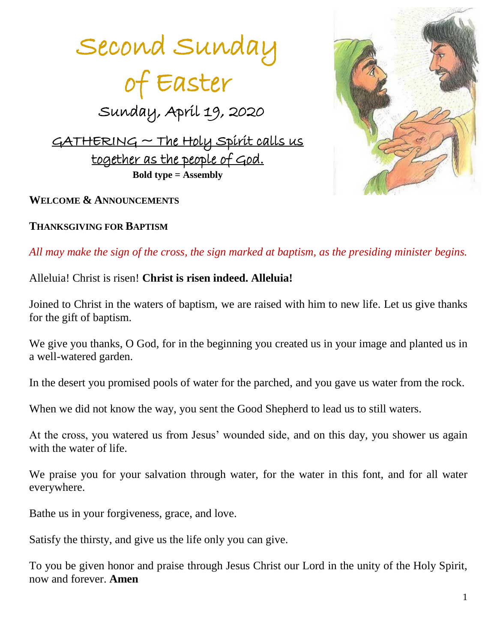



### **WELCOME & ANNOUNCEMENTS**

### **THANKSGIVING FOR BAPTISM**

*All may make the sign of the cross, the sign marked at baptism, as the presiding minister begins.*

### Alleluia! Christ is risen! **Christ is risen indeed. Alleluia!**

Joined to Christ in the waters of baptism, we are raised with him to new life. Let us give thanks for the gift of baptism.

We give you thanks, O God, for in the beginning you created us in your image and planted us in a well-watered garden.

In the desert you promised pools of water for the parched, and you gave us water from the rock.

When we did not know the way, you sent the Good Shepherd to lead us to still waters.

At the cross, you watered us from Jesus' wounded side, and on this day, you shower us again with the water of life.

We praise you for your salvation through water, for the water in this font, and for all water everywhere.

Bathe us in your forgiveness, grace, and love.

Satisfy the thirsty, and give us the life only you can give.

To you be given honor and praise through Jesus Christ our Lord in the unity of the Holy Spirit, now and forever. **Amen**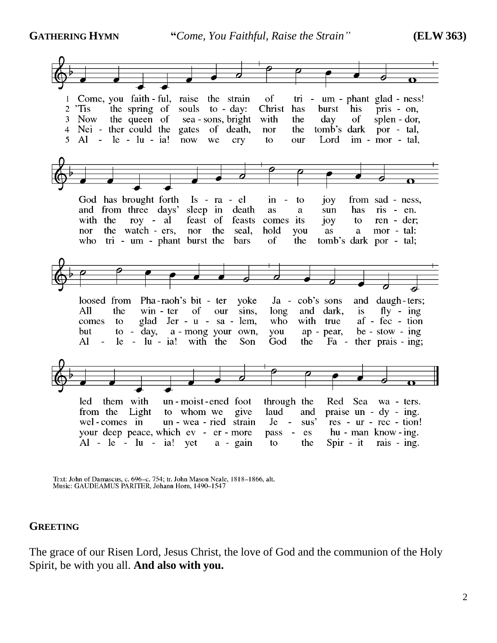

Text: John of Damascus, c. 696-c. 754; tr. John Mason Neale, 1818-1866, alt. Music: GAUDEAMUS PARITER, Johann Horn, 1490-1547

### **GREETING**

The grace of our Risen Lord, Jesus Christ, the love of God and the communion of the Holy Spirit, be with you all. **And also with you.**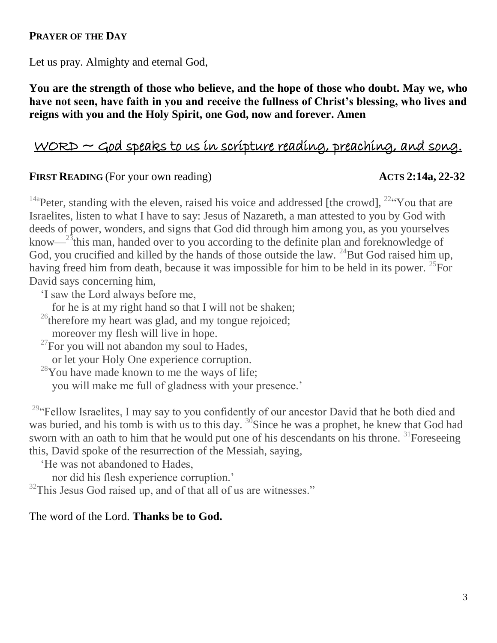### **PRAYER OF THE DAY**

Let us pray. Almighty and eternal God,

**You are the strength of those who believe, and the hope of those who doubt. May we, who have not seen, have faith in you and receive the fullness of Christ's blessing, who lives and reigns with you and the Holy Spirit, one God, now and forever. Amen**

# $WORD \sim$  God speaks to us in scripture reading, preaching, and song.

### **FIRST READING** (For your own reading) ACTS 2:14a, 22-32

<sup>14a</sup>Peter, standing with the eleven, raised his voice and addressed [the crowd], <sup>22</sup> You that are Israelites, listen to what I have to say: Jesus of Nazareth, a man attested to you by God with deeds of power, wonders, and signs that God did through him among you, as you yourselves know— $^{23}$ this man, handed over to you according to the definite plan and foreknowledge of God, you crucified and killed by the hands of those outside the law.  $^{24}$ But God raised him up, having freed him from death, because it was impossible for him to be held in its power. <sup>25</sup>For David says concerning him,

'I saw the Lord always before me,

for he is at my right hand so that I will not be shaken;

 $^{26}$ therefore my heart was glad, and my tongue rejoiced;

moreover my flesh will live in hope.

 $^{27}$ For you will not abandon my soul to Hades,

or let your Holy One experience corruption.

<sup>28</sup>You have made known to me the ways of life;

you will make me full of gladness with your presence.'

<sup>29</sup>"Fellow Israelites, I may say to you confidently of our ancestor David that he both died and was buried, and his tomb is with us to this day.  $\frac{30}{9}$ Since he was a prophet, he knew that God had sworn with an oath to him that he would put one of his descendants on his throne.  $31$ Foreseeing this, David spoke of the resurrection of the Messiah, saying,

'He was not abandoned to Hades,

nor did his flesh experience corruption.'

 $32$ This Jesus God raised up, and of that all of us are witnesses."

### The word of the Lord. **Thanks be to God.**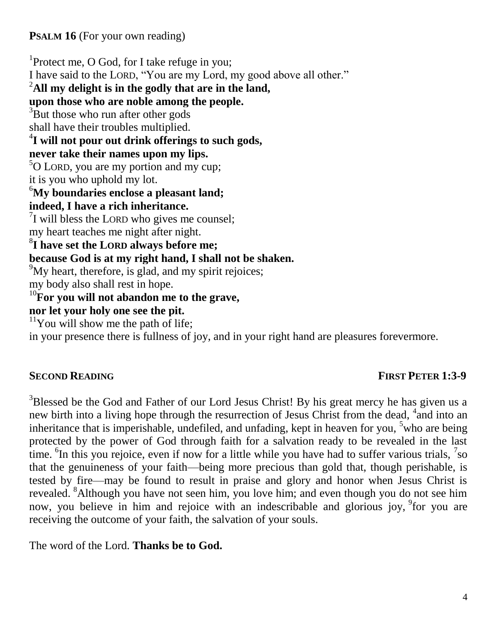# **PSALM 16** (For your own reading)

<sup>1</sup>Protect me, O God, for I take refuge in you; I have said to the LORD, "You are my Lord, my good above all other." <sup>2</sup>**All my delight is in the godly that are in the land, upon those who are noble among the people.** <sup>3</sup>But those who run after other gods shall have their troubles multiplied. 4 **I will not pour out drink offerings to such gods, never take their names upon my lips.**  $5$ O LORD, you are my portion and my cup; it is you who uphold my lot. <sup>6</sup>**My boundaries enclose a pleasant land; indeed, I have a rich inheritance.**  $7$ I will bless the LORD who gives me counsel; my heart teaches me night after night. 8 **I have set the LORD always before me; because God is at my right hand, I shall not be shaken.** <sup>9</sup>My heart, therefore, is glad, and my spirit rejoices; my body also shall rest in hope. <sup>10</sup>**For you will not abandon me to the grave, nor let your holy one see the pit.**  $11$ You will show me the path of life; in your presence there is fullness of joy, and in your right hand are pleasures forevermore.

# **SECOND READING FIRST PETER 1:3-9**

<sup>3</sup>Blessed be the God and Father of our Lord Jesus Christ! By his great mercy he has given us a new birth into a living hope through the resurrection of Jesus Christ from the dead, <sup>4</sup> and into an inheritance that is imperishable, undefiled, and unfading, kept in heaven for you,  $5$  who are being protected by the power of God through faith for a salvation ready to be revealed in the last time.  ${}^{6}$ In this you rejoice, even if now for a little while you have had to suffer various trials,  ${}^{7}$ so that the genuineness of your faith—being more precious than gold that, though perishable, is tested by fire—may be found to result in praise and glory and honor when Jesus Christ is revealed. <sup>8</sup>Although you have not seen him, you love him; and even though you do not see him now, you believe in him and rejoice with an indescribable and glorious joy, <sup>9</sup> for you are receiving the outcome of your faith, the salvation of your souls.

The word of the Lord. **Thanks be to God.**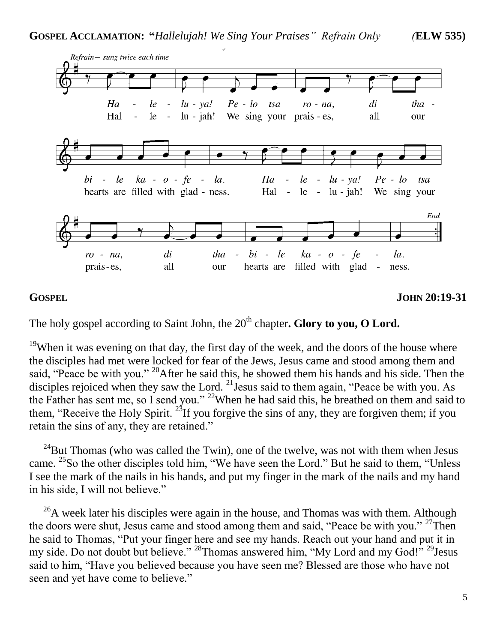

**GOSPEL JOHN 20:19-31**

The holy gospel according to Saint John, the 20<sup>th</sup> chapter**. Glory to you, O Lord.** 

<sup>19</sup>When it was evening on that day, the first day of the week, and the doors of the house where the disciples had met were locked for fear of the Jews, Jesus came and stood among them and said, "Peace be with you." <sup>20</sup>After he said this, he showed them his hands and his side. Then the disciples rejoiced when they saw the Lord. <sup>21</sup> Jesus said to them again, "Peace be with you. As the Father has sent me, so I send you." <sup>22</sup>When he had said this, he breathed on them and said to them, "Receive the Holy Spirit.<sup>23</sup>If you forgive the sins of any, they are forgiven them; if you retain the sins of any, they are retained."

 $24$ But Thomas (who was called the Twin), one of the twelve, was not with them when Jesus came. <sup>25</sup>So the other disciples told him, "We have seen the Lord." But he said to them, "Unless I see the mark of the nails in his hands, and put my finger in the mark of the nails and my hand in his side, I will not believe."

 $^{26}$ A week later his disciples were again in the house, and Thomas was with them. Although the doors were shut, Jesus came and stood among them and said, "Peace be with you."  $27$ Then he said to Thomas, "Put your finger here and see my hands. Reach out your hand and put it in my side. Do not doubt but believe." <sup>28</sup>Thomas answered him, "My Lord and my God!" <sup>29</sup>Jesus said to him, "Have you believed because you have seen me? Blessed are those who have not seen and yet have come to believe."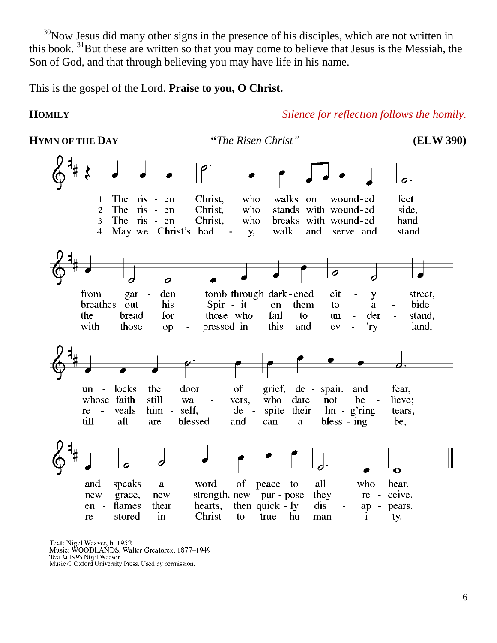$30$ Now Jesus did many other signs in the presence of his disciples, which are not written in this book. <sup>31</sup>But these are written so that you may come to believe that Jesus is the Messiah, the Son of God, and that through believing you may have life in his name.

This is the gospel of the Lord. **Praise to you, O Christ.** 

**HOMILY** *Silence for reflection follows the homily.*

**HYMN OF THE DAY "***The Risen Christ"* **(ELW 390)**Christ, who walks on feet The ris - en wound-ed  $\mathbf{1}$  $\overline{2}$ The ris - en Christ. who stands with wound-ed side, The ris - en breaks with wound-ed hand 3 Christ. who May we, Christ's bod stand  $\overline{4}$ у, walk and serve and 6 from gar den tomb through dark-ened cit street,  $\overline{a}$ y breathes his Spir - it them bide out on to a those who the bread for fail to un der stand, with those  $op$ pressed in this and ev 'ry land, **d.** locks the door un  $\sim$   $^{-1}$ of grief, de - spair, and fear, whose faith still wa who dare not be lieve: vers.  $\sim$  $\overline{a}$ re  $\mathbf{r}$ veals  $him$ self.  $\rm{de}$  $\sim$ spite their  $\ln -$  g'ring tears, till all blessed and bless - ing are can be, a speaks word of peace to all who hear. and a new grace, new strength, new pur - pose they  $re$ ceive. flames their hearts, then  $quick - ly$ dis  $en$  $ap$ pears. Christ stored  $\mathbf{in}$ true hu - man re  $\blacksquare$ to i ty.

Text: Nigel Weaver, b. 1952 Music: WOODLANDS, Walter Greatorex, 1877–1949 Text © 1993 Nigel Weaver. Music © Oxford University Press. Used by permission.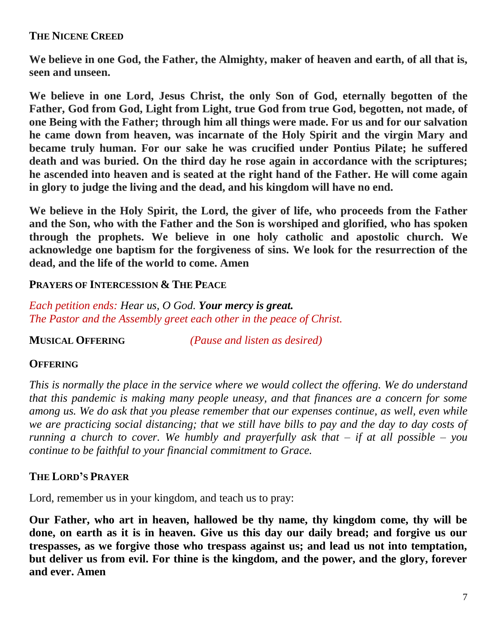# **THE NICENE CREED**

**We believe in one God, the Father, the Almighty, maker of heaven and earth, of all that is, seen and unseen.**

**We believe in one Lord, Jesus Christ, the only Son of God, eternally begotten of the Father, God from God, Light from Light, true God from true God, begotten, not made, of one Being with the Father; through him all things were made. For us and for our salvation he came down from heaven, was incarnate of the Holy Spirit and the virgin Mary and became truly human. For our sake he was crucified under Pontius Pilate; he suffered death and was buried. On the third day he rose again in accordance with the scriptures; he ascended into heaven and is seated at the right hand of the Father. He will come again in glory to judge the living and the dead, and his kingdom will have no end.**

**We believe in the Holy Spirit, the Lord, the giver of life, who proceeds from the Father and the Son, who with the Father and the Son is worshiped and glorified, who has spoken through the prophets. We believe in one holy catholic and apostolic church. We acknowledge one baptism for the forgiveness of sins. We look for the resurrection of the dead, and the life of the world to come. Amen**

### **PRAYERS OF INTERCESSION & THE PEACE**

*Each petition ends: Hear us, O God. Your mercy is great. The Pastor and the Assembly greet each other in the peace of Christ.*

**MUSICAL OFFERING** *(Pause and listen as desired)*

# **OFFERING**

*This is normally the place in the service where we would collect the offering. We do understand that this pandemic is making many people uneasy, and that finances are a concern for some among us. We do ask that you please remember that our expenses continue, as well, even while we are practicing social distancing; that we still have bills to pay and the day to day costs of running a church to cover. We humbly and prayerfully ask that – if at all possible – you continue to be faithful to your financial commitment to Grace.* 

# **THE LORD'S PRAYER**

Lord, remember us in your kingdom, and teach us to pray:

**Our Father, who art in heaven, hallowed be thy name, thy kingdom come, thy will be done, on earth as it is in heaven. Give us this day our daily bread; and forgive us our trespasses, as we forgive those who trespass against us; and lead us not into temptation, but deliver us from evil. For thine is the kingdom, and the power, and the glory, forever and ever. Amen**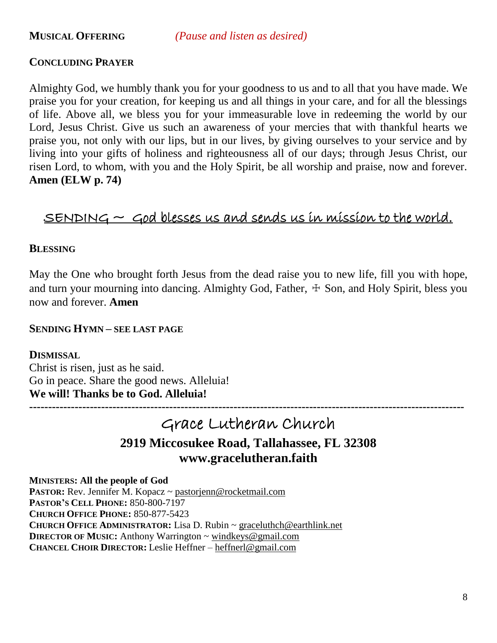**MUSICAL OFFERING** *(Pause and listen as desired)*

### **CONCLUDING PRAYER**

Almighty God, we humbly thank you for your goodness to us and to all that you have made. We praise you for your creation, for keeping us and all things in your care, and for all the blessings of life. Above all, we bless you for your immeasurable love in redeeming the world by our Lord, Jesus Christ. Give us such an awareness of your mercies that with thankful hearts we praise you, not only with our lips, but in our lives, by giving ourselves to your service and by living into your gifts of holiness and righteousness all of our days; through Jesus Christ, our risen Lord, to whom, with you and the Holy Spirit, be all worship and praise, now and forever. **Amen (ELW p. 74)**

# $S$ ENDING  $\sim$  God blesses us and sends us in mission to the world.

### **BLESSING**

May the One who brought forth Jesus from the dead raise you to new life, fill you with hope, and turn your mourning into dancing. Almighty God, Father,  $\pm$  Son, and Holy Spirit, bless you now and forever. **Amen**

### **SENDING HYMN – SEE LAST PAGE**

**-------------------------------------------------------------------------------------------------------------------**

### **DISMISSAL**

Christ is risen, just as he said. Go in peace. Share the good news. Alleluia! **We will! Thanks be to God. Alleluia!**

# Grace Lutheran Church **2919 Miccosukee Road, Tallahassee, FL 32308 www.gracelutheran.faith**

**MINISTERS: All the people of God PASTOR:** Rev. Jennifer M. Kopacz ~ [pastorjenn@rocketmail.com](mailto:pastorjenn@rocketmail.com) **PASTOR'S CELL PHONE:** 850-800-7197 **CHURCH OFFICE PHONE:** 850-877-5423 **CHURCH OFFICE ADMINISTRATOR:** Lisa D. Rubin ~ [graceluthch@earthlink.net](mailto:graceluthch@earthlink.net) **DIRECTOR OF MUSIC:** Anthony Warrington ~ [windkeys@gmail.com](mailto:windkeys@gmail.com) **CHANCEL CHOIR DIRECTOR:** Leslie Heffner – [heffnerl@gmail.com](mailto:heffnerl@gmail.com)